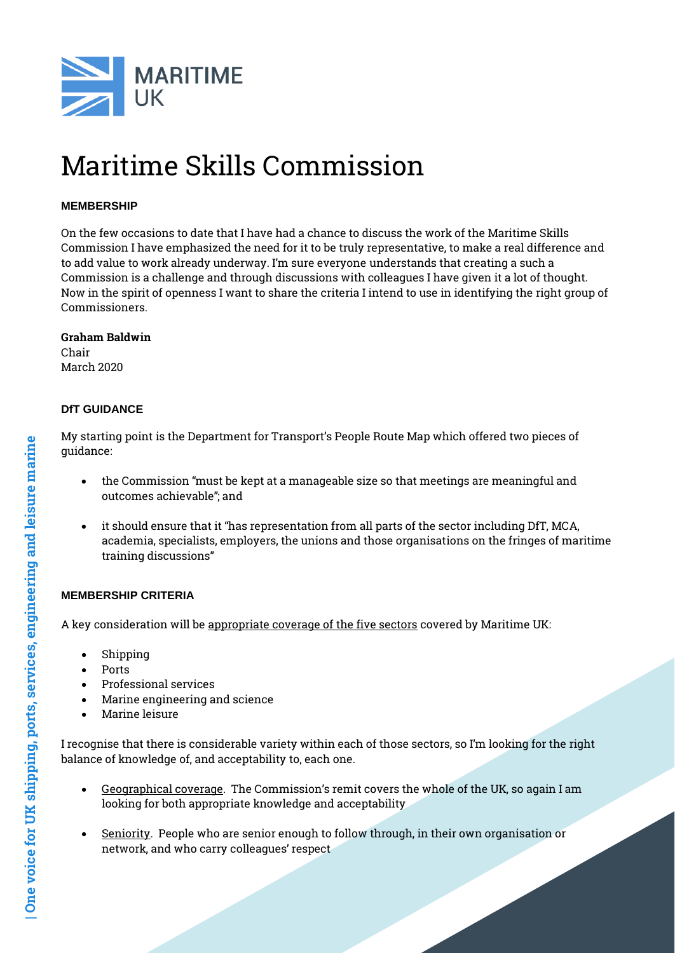

# Maritime Skills Commission

### **MEMBERSHIP**

On the few occasions to date that I have had a chance to discuss the work of the Maritime Skills Commission I have emphasized the need for it to be truly representative, to make a real difference and to add value to work already underway. I'm sure everyone understands that creating a such a Commission is a challenge and through discussions with colleagues I have given it a lot of thought. Now in the spirit of openness I want to share the criteria I intend to use in identifying the right group of Commissioners.

#### Graham Baldwin

Chair March 2020

## **DfT GUIDANCE**

My starting point is the Department for Transport's People Route Map which offered two pieces of guidance:

- the Commission "must be kept at a manageable size so that meetings are meaningful and outcomes achievable"; and
- it should ensure that it "has representation from all parts of the sector including DfT, MCA, academia, specialists, employers, the unions and those organisations on the fringes of maritime training discussions"

## **MEMBERSHIP CRITERIA**

A key consideration will be appropriate coverage of the five sectors covered by Maritime UK:

- Shipping
- Ports
- Professional services
- Marine engineering and science
- Marine leisure

I recognise that there is considerable variety within each of those sectors, so I'm looking for the right balance of knowledge of, and acceptability to, each one.

- Geographical coverage. The Commission's remit covers the whole of the UK, so again I am looking for both appropriate knowledge and acceptability
- Seniority. People who are senior enough to follow through, in their own organisation or network, and who carry colleagues' respect